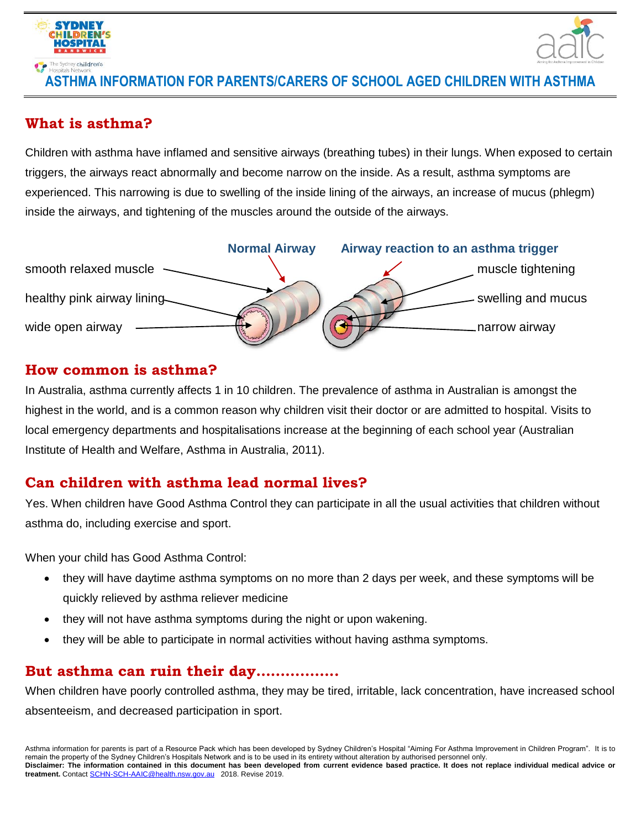



### **ASTHMA INFORMATION FOR PARENTS/CARERS OF SCHOOL AGED CHILDREN WITH ASTHMA**

### **What is asthma?**

Children with asthma have inflamed and sensitive airways (breathing tubes) in their lungs. When exposed to certain triggers, the airways react abnormally and become narrow on the inside. As a result, asthma symptoms are experienced. This narrowing is due to swelling of the inside lining of the airways, an increase of mucus (phlegm) inside the airways, and tightening of the muscles around the outside of the airways.



### **How common is asthma?**

In Australia, asthma currently affects 1 in 10 children. The prevalence of asthma in Australian is amongst the highest in the world, and is a common reason why children visit their doctor or are admitted to hospital. Visits to local emergency departments and hospitalisations increase at the beginning of each school year (Australian Institute of Health and Welfare, Asthma in Australia, 2011).

## **Can children with asthma lead normal lives?**

Yes. When children have Good Asthma Control they can participate in all the usual activities that children without asthma do, including exercise and sport.

When your child has Good Asthma Control:

- they will have daytime asthma symptoms on no more than 2 days per week, and these symptoms will be quickly relieved by asthma reliever medicine
- they will not have asthma symptoms during the night or upon wakening.
- they will be able to participate in normal activities without having asthma symptoms.

## **But asthma can ruin their day……………..**

When children have poorly controlled asthma, they may be tired, irritable, lack concentration, have increased school absenteeism, and decreased participation in sport.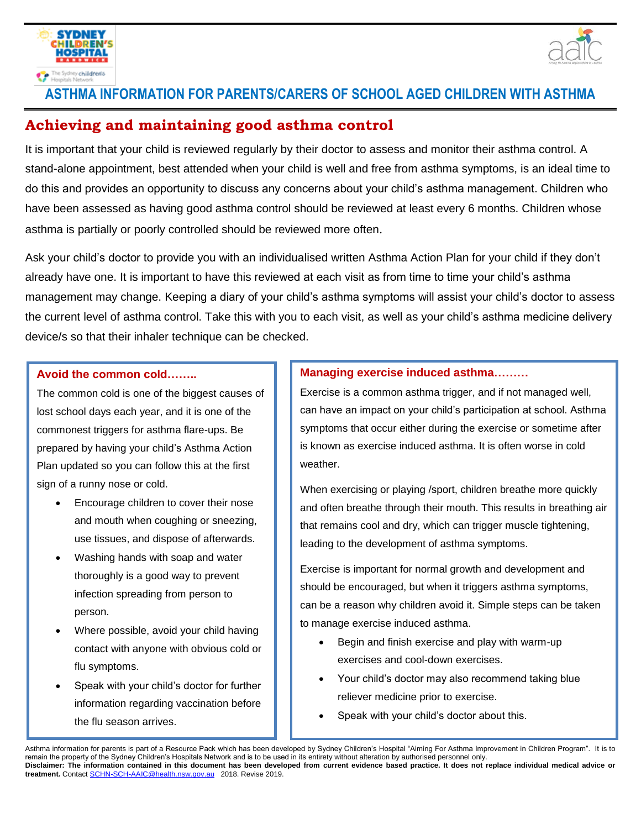



## **ASTHMA INFORMATION FOR PARENTS/CARERS OF SCHOOL AGED CHILDREN WITH ASTHMA**

## **Achieving and maintaining good asthma control**

It is important that your child is reviewed regularly by their doctor to assess and monitor their asthma control. A stand-alone appointment, best attended when your child is well and free from asthma symptoms, is an ideal time to do this and provides an opportunity to discuss any concerns about your child's asthma management. Children who have been assessed as having good asthma control should be reviewed at least every 6 months. Children whose asthma is partially or poorly controlled should be reviewed more often.

Ask your child's doctor to provide you with an individualised written Asthma Action Plan for your child if they don't already have one. It is important to have this reviewed at each visit as from time to time your child's asthma management may change. Keeping a diary of your child's asthma symptoms will assist your child's doctor to assess the current level of asthma control. Take this with you to each visit, as well as your child's asthma medicine delivery device/s so that their inhaler technique can be checked.

#### **Avoid the common cold……..**

The common cold is one of the biggest causes of lost school days each year, and it is one of the commonest triggers for asthma flare-ups. Be prepared by having your child's Asthma Action Plan updated so you can follow this at the first sign of a runny nose or cold.

- Encourage children to cover their nose and mouth when coughing or sneezing, use tissues, and dispose of afterwards.
- Washing hands with soap and water thoroughly is a good way to prevent infection spreading from person to person.
- Where possible, avoid your child having contact with anyone with obvious cold or flu symptoms.
- Speak with your child's doctor for further information regarding vaccination before the flu season arrives.

#### **Managing exercise induced asthma………**

Exercise is a common asthma trigger, and if not managed well, can have an impact on your child's participation at school. Asthma symptoms that occur either during the exercise or sometime after is known as exercise induced asthma. It is often worse in cold weather.

When exercising or playing /sport, children breathe more quickly and often breathe through their mouth. This results in breathing air that remains cool and dry, which can trigger muscle tightening, leading to the development of asthma symptoms.

Exercise is important for normal growth and development and should be encouraged, but when it triggers asthma symptoms, can be a reason why children avoid it. Simple steps can be taken to manage exercise induced asthma.

- Begin and finish exercise and play with warm-up exercises and cool-down exercises.
- Your child's doctor may also recommend taking blue reliever medicine prior to exercise.
- Speak with your child's doctor about this.

Asthma information for parents is part of a Resource Pack which has been developed by Sydney Children's Hospital "Aiming For Asthma Improvement in Children Program". It is to remain the property of the Sydney Children's Hospitals Network and is to be used in its entirety without alteration by authorised personnel only. **Disclaimer: The information contained in this document has been developed from current evidence based practice. It does not replace individual medical advice or treatment.** Contact [SCHN-SCH-AAIC@health.nsw.gov.au](mailto:SCHN-SCH-AAIC@health.nsw.gov.au) 2018. Revise 2019.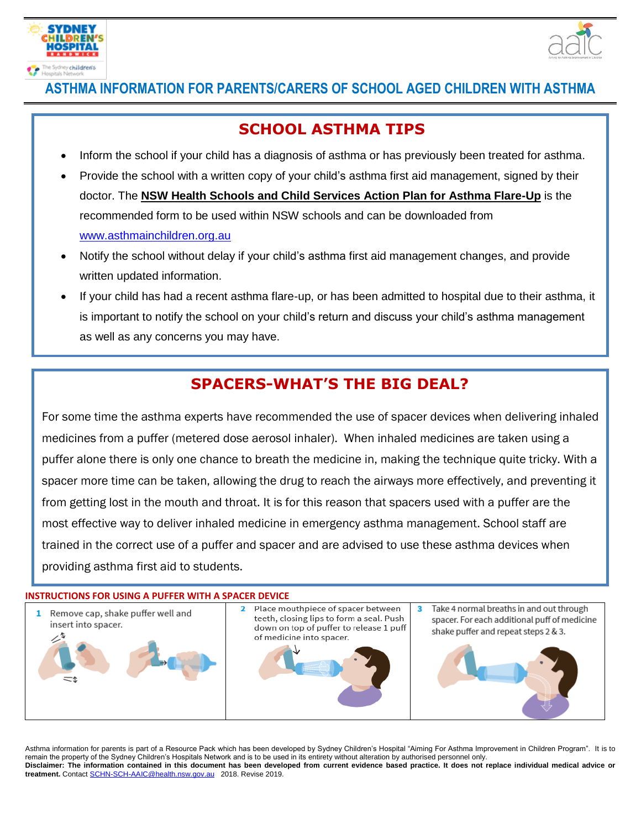



# i<br>... **ASTHMA INFORMATION FOR PARENTS/CARERS OF SCHOOL AGED CHILDREN WITH ASTHMA**

## **SCHOOL ASTHMA TIPS**

- Inform the school if your child has a diagnosis of asthma or has previously been treated for asthma.
- Provide the school with a written copy of your child's asthma first aid management, signed by their doctor. The **NSW Health Schools and Child Services Action Plan for Asthma Flare-Up** is the recommended form to be used within NSW schools and can be downloaded from [www.asthmainchildren.org.au](http://www.asthmainchildren.org.au/)
- Notify the school without delay if your child's asthma first aid management changes, and provide written updated information.
- If your child has had a recent asthma flare-up, or has been admitted to hospital due to their asthma, it is important to notify the school on your child's return and discuss your child's asthma management as well as any concerns you may have.

# **SPACERS-WHAT'S THE BIG DEAL?**

Ensure your child brings the interest medicine and device to the school clearly labeled  $\alpha$ 

For some time the asthma experts have recommended the use of spacer devices when delivering inhaled medicines from a puffer (metered dose aerosol inhaler). When inhaled medicines are taken using a puffer alone there is only one chance to breath the medicine in, making the technique quite tricky. With a spacer more time can be taken, allowing the drug to reach the airways more effectively, and preventing it from getting lost in the mouth and throat. It is for this reason that spacers used with a puffer are the most effective way to deliver inhaled medicine in emergency asthma management. School staff are trained in the correct use of a puffer and spacer and are advised to use these asthma devices when providing asthma first aid to students.

## **INSTRUCTIONS FOR USING A PUFFER WITH A SPACER DEVICE**



Asthma information for parents is part of a Resource Pack which has been developed by Sydney Children's Hospital "Aiming For Asthma Improvement in Children Program". It is to remain the property of the Sydney Children's Hospitals Network and is to be used in its entirety without alteration by authorised personnel only. **Disclaimer: The information contained in this document has been developed from current evidence based practice. It does not replace individual medical advice or treatment.** Contact [SCHN-SCH-AAIC@health.nsw.gov.au](mailto:SCHN-SCH-AAIC@health.nsw.gov.au) 2018. Revise 2019.